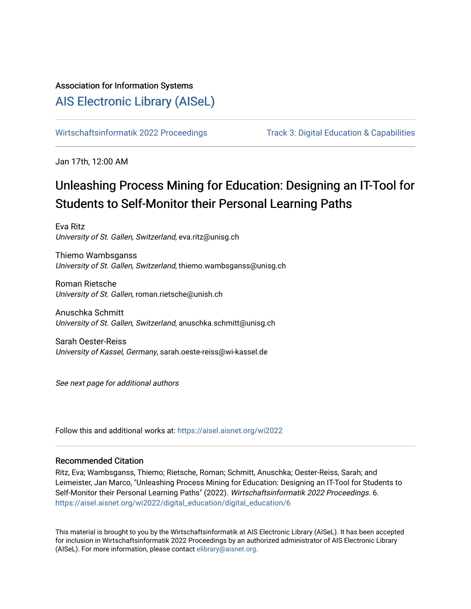# Association for Information Systems

# [AIS Electronic Library \(AISeL\)](https://aisel.aisnet.org/)

[Wirtschaftsinformatik 2022 Proceedings](https://aisel.aisnet.org/wi2022) Track 3: Digital Education & Capabilities

Jan 17th, 12:00 AM

# Unleashing Process Mining for Education: Designing an IT-Tool for Students to Self-Monitor their Personal Learning Paths

Eva Ritz University of St. Gallen, Switzerland, eva.ritz@unisg.ch

Thiemo Wambsganss University of St. Gallen, Switzerland, thiemo.wambsganss@unisg.ch

Roman Rietsche University of St. Gallen, roman.rietsche@unish.ch

Anuschka Schmitt University of St. Gallen, Switzerland, anuschka.schmitt@unisg.ch

Sarah Oester-Reiss University of Kassel, Germany, sarah.oeste-reiss@wi-kassel.de

See next page for additional authors

Follow this and additional works at: [https://aisel.aisnet.org/wi2022](https://aisel.aisnet.org/wi2022?utm_source=aisel.aisnet.org%2Fwi2022%2Fdigital_education%2Fdigital_education%2F6&utm_medium=PDF&utm_campaign=PDFCoverPages) 

# Recommended Citation

Ritz, Eva; Wambsganss, Thiemo; Rietsche, Roman; Schmitt, Anuschka; Oester-Reiss, Sarah; and Leimeister, Jan Marco, "Unleashing Process Mining for Education: Designing an IT-Tool for Students to Self-Monitor their Personal Learning Paths" (2022). Wirtschaftsinformatik 2022 Proceedings. 6. [https://aisel.aisnet.org/wi2022/digital\\_education/digital\\_education/6](https://aisel.aisnet.org/wi2022/digital_education/digital_education/6?utm_source=aisel.aisnet.org%2Fwi2022%2Fdigital_education%2Fdigital_education%2F6&utm_medium=PDF&utm_campaign=PDFCoverPages) 

This material is brought to you by the Wirtschaftsinformatik at AIS Electronic Library (AISeL). It has been accepted for inclusion in Wirtschaftsinformatik 2022 Proceedings by an authorized administrator of AIS Electronic Library (AISeL). For more information, please contact [elibrary@aisnet.org](mailto:elibrary@aisnet.org%3E).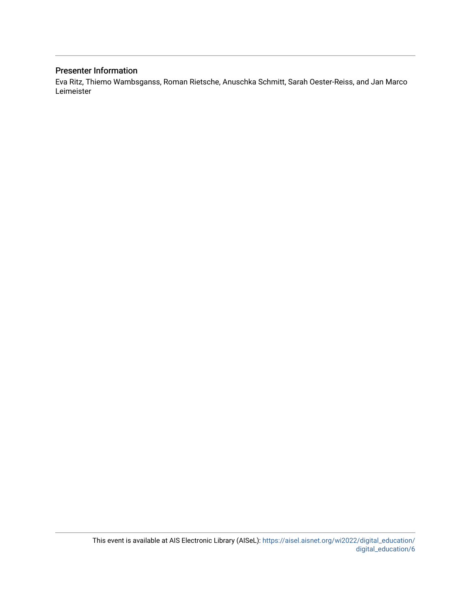# Presenter Information

Eva Ritz, Thiemo Wambsganss, Roman Rietsche, Anuschka Schmitt, Sarah Oester-Reiss, and Jan Marco Leimeister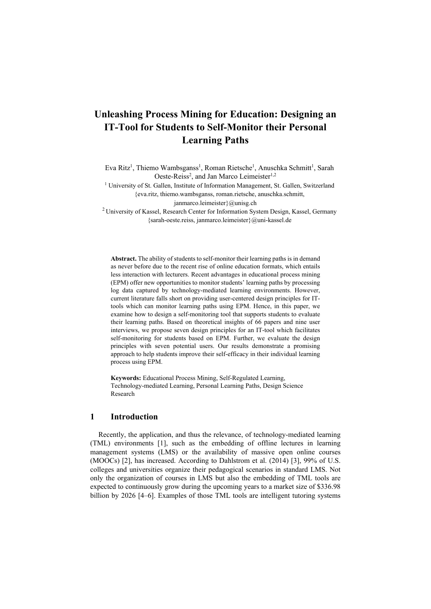# **Unleashing Process Mining for Education: Designing an IT-Tool for Students to Self-Monitor their Personal Learning Paths**

Eva Ritz<sup>1</sup>, Thiemo Wambsganss<sup>1</sup>, Roman Rietsche<sup>1</sup>, Anuschka Schmitt<sup>1</sup>, Sarah Oeste-Reiss<sup>2</sup>, and Jan Marco Leimeister<sup>1,2</sup>

<sup>1</sup> University of St. Gallen, Institute of Information Management, St. Gallen, Switzerland [{eva.ritz, thiemo.wambsganss, roman.rietsche, anuschka.schmitt,](mailto:%7beva.ritz,%20thiemo.wambsganss,%20roman.rietsche,%20anuschka.schmitt,%20janmarco.leimeister%7d@unisg.ch) 

[janmarco.leimeister}@unisg.ch](mailto:%7beva.ritz,%20thiemo.wambsganss,%20roman.rietsche,%20anuschka.schmitt,%20janmarco.leimeister%7d@unisg.ch)

2 University of Kassel, Research Center for Information System Design, Kassel, Germany [{sarah-oeste.reiss, janmarco.leimeister}@uni-kassel.de](mailto:%7bsarah-oeste.reiss,%20janmarco.leimeister%7d@uni-kassel.deh)

**Abstract.** The ability of students to self-monitor their learning paths is in demand as never before due to the recent rise of online education formats, which entails less interaction with lecturers. Recent advantages in educational process mining (EPM) offer new opportunities to monitor students' learning paths by processing log data captured by technology-mediated learning environments. However, current literature falls short on providing user-centered design principles for ITtools which can monitor learning paths using EPM. Hence, in this paper, we examine how to design a self-monitoring tool that supports students to evaluate their learning paths. Based on theoretical insights of 66 papers and nine user interviews, we propose seven design principles for an IT-tool which facilitates self-monitoring for students based on EPM. Further, we evaluate the design principles with seven potential users. Our results demonstrate a promising approach to help students improve their self-efficacy in their individual learning process using EPM.

**Keywords:** Educational Process Mining, Self-Regulated Learning, Technology-mediated Learning, Personal Learning Paths, Design Science Research

# **1 Introduction**

Recently, the application, and thus the relevance, of technology-mediated learning (TML) environments [1], such as the embedding of offline lectures in learning management systems (LMS) or the availability of massive open online courses (MOOCs) [2], has increased. According to Dahlstrom et al. (2014) [3], 99% of U.S. colleges and universities organize their pedagogical scenarios in standard LMS. Not only the organization of courses in LMS but also the embedding of TML tools are expected to continuously grow during the upcoming years to a market size of \$336.98 billion by 2026 [4–6]. Examples of those TML tools are intelligent tutoring systems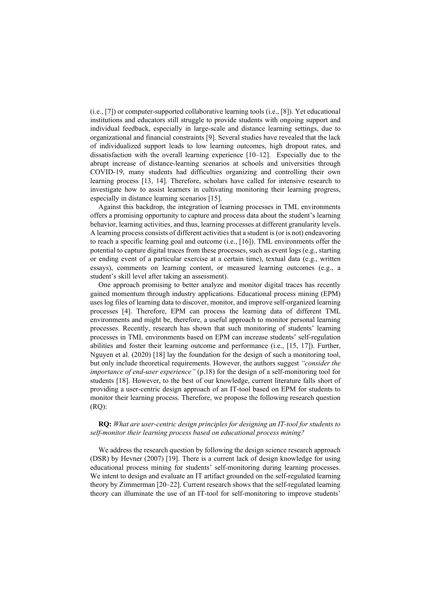(i.e., [7]) or computer-supported collaborative learning tools (i.e., [8]). Yet educational institutions and educators still struggle to provide students with ongoing support and individual feedback, especially in large-scale and distance learning settings, due to organizational and financial constraints [9]. Several studies have revealed that the lack of individualized support leads to low learning outcomes, high dropout rates, and dissatisfaction with the overall learning experience [10–12]. Especially due to the abrupt increase of distance-learning scenarios at schools and universities through COVID-19, many students had difficulties organizing and controlling their own learning process [13, 14]. Therefore, scholars have called for intensive research to investigate how to assist learners in cultivating monitoring their learning progress, especially in distance learning scenarios [15].

Against this backdrop, the integration of learning processes in TML environments offers a promising opportunity to capture and process data about the student's learning behavior, learning activities, and thus, learning processes at different granularity levels. A learning process consists of different activities that a student is (or is not) endeavoring to reach a specific learning goal and outcome (i.e., [16]). TML environments offer the potential to capture digital traces from these processes, such as event logs (e.g., starting or ending event of a particular exercise at a certain time), textual data (e.g., written essays), comments on learning content, or measured learning outcomes (e.g., a student's skill level after taking an assessment).

One approach promising to better analyze and monitor digital traces has recently gained momentum through industry applications. Educational process mining (EPM) uses log files of learning data to discover, monitor, and improve self-organized learning processes [4]. Therefore, EPM can process the learning data of different TML environments and might be, therefore, a useful approach to monitor personal learning processes. Recently, research has shown that such monitoring of students' learning processes in TML environments based on EPM can increase students' self-regulation abilities and foster their learning outcome and performance (i.e., [15, 17]). Further, Nguyen et al. (2020) [18] lay the foundation for the design of such a monitoring tool, but only include theoretical requirements. However, the authors suggest *"consider the importance of end-user experience"* (p.18) for the design of a self-monitoring tool for students [18]. However, to the best of our knowledge, current literature falls short of providing a user-centric design approach of an IT-tool based on EPM for students to monitor their learning process. Therefore, we propose the following research question (RQ):

#### **RQ:** *What are user-centric design principles for designing an IT-tool for students to self-monitor their learning process based on educational process mining?*

We address the research question by following the design science research approach (DSR) by Hevner (2007) [19]. There is a current lack of design knowledge for using educational process mining for students' self-monitoring during learning processes. We intent to design and evaluate an IT artifact grounded on the self-regulated learning theory by Zimmerman [20–22]. Current research shows that the self-regulated learning theory can illuminate the use of an IT-tool for self-monitoring to improve students'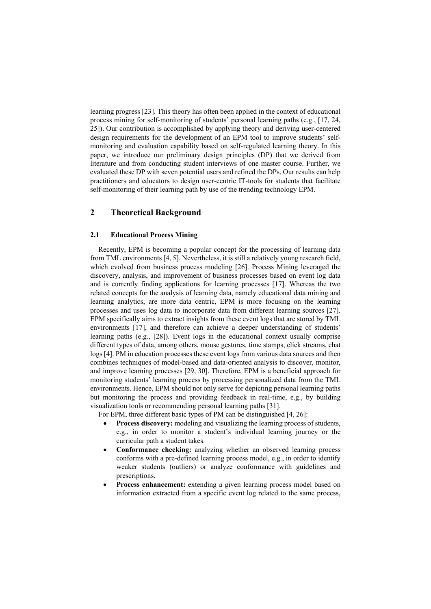learning progress [23]. This theory has often been applied in the context of educational process mining for self-monitoring of students' personal learning paths (e.g., [17, 24, 25]). Our contribution is accomplished by applying theory and deriving user-centered design requirements for the development of an EPM tool to improve students' selfmonitoring and evaluation capability based on self-regulated learning theory. In this paper, we introduce our preliminary design principles (DP) that we derived from literature and from conducting student interviews of one master course. Further, we evaluated these DP with seven potential users and refined the DPs. Our results can help practitioners and educators to design user-centric IT-tools for students that facilitate self-monitoring of their learning path by use of the trending technology EPM.

# **2 Theoretical Background**

#### **2.1 Educational Process Mining**

Recently, EPM is becoming a popular concept for the processing of learning data from TML environments [4, 5]. Nevertheless, it is still a relatively young research field, which evolved from business process modeling [26]. Process Mining leveraged the discovery, analysis, and improvement of business processes based on event log data and is currently finding applications for learning processes [17]. Whereas the two related concepts for the analysis of learning data, namely educational data mining and learning analytics, are more data centric, EPM is more focusing on the learning processes and uses log data to incorporate data from different learning sources [27]. EPM specifically aims to extract insights from these event logs that are stored by TML environments [17], and therefore can achieve a deeper understanding of students' learning paths (e.g., [28]). Event logs in the educational context usually comprise different types of data, among others, mouse gestures, time stamps, click streams, chat logs [4]. PM in education processes these event logs from various data sources and then combines techniques of model-based and data-oriented analysis to discover, monitor, and improve learning processes [29, 30]. Therefore, EPM is a beneficial approach for monitoring students' learning process by processing personalized data from the TML environments. Hence, EPM should not only serve for depicting personal learning paths but monitoring the process and providing feedback in real-time, e.g., by building visualization tools or recommending personal learning paths [31].

For EPM, three different basic types of PM can be distinguished [4, 26]:

- **Process discovery:** modeling and visualizing the learning process of students, e.g., in order to monitor a student's individual learning journey or the curricular path a student takes.
- **Conformance checking:** analyzing whether an observed learning process conforms with a pre-defined learning process model, e.g., in order to identify weaker students (outliers) or analyze conformance with guidelines and prescriptions.
- **Process enhancement:** extending a given learning process model based on information extracted from a specific event log related to the same process,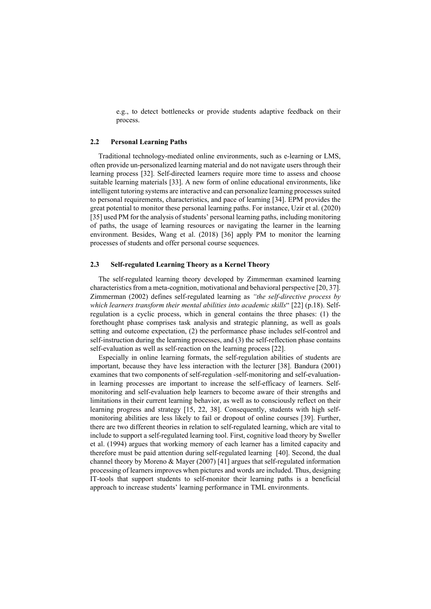e.g., to detect bottlenecks or provide students adaptive feedback on their process.

#### **2.2 Personal Learning Paths**

Traditional technology-mediated online environments, such as e-learning or LMS, often provide un-personalized learning material and do not navigate users through their learning process [32]. Self-directed learners require more time to assess and choose suitable learning materials [33]. A new form of online educational environments, like intelligent tutoring systems are interactive and can personalize learning processessuited to personal requirements, characteristics, and pace of learning [34]. EPM provides the great potential to monitor these personal learning paths. For instance, Uzir et al. (2020) [35] used PM for the analysis of students' personal learning paths, including monitoring of paths, the usage of learning resources or navigating the learner in the learning environment. Besides, Wang et al. (2018) [36] apply PM to monitor the learning processes of students and offer personal course sequences.

#### **2.3 Self-regulated Learning Theory as a Kernel Theory**

The self-regulated learning theory developed by Zimmerman examined learning characteristics from a meta-cognition, motivational and behavioral perspective [20, 37]. Zimmerman (2002) defines self-regulated learning as *"the self-directive process by which learners transform their mental abilities into academic skills*" [22] (p.18). Selfregulation is a cyclic process, which in general contains the three phases: (1) the forethought phase comprises task analysis and strategic planning, as well as goals setting and outcome expectation, (2) the performance phase includes self-control and self-instruction during the learning processes, and (3) the self-reflection phase contains self-evaluation as well as self-reaction on the learning process [22].

Especially in online learning formats, the self-regulation abilities of students are important, because they have less interaction with the lecturer [38]. Bandura (2001) examines that two components of self-regulation -self-monitoring and self-evaluationin learning processes are important to increase the self-efficacy of learners. Selfmonitoring and self-evaluation help learners to become aware of their strengths and limitations in their current learning behavior, as well as to consciously reflect on their learning progress and strategy [15, 22, 38]. Consequently, students with high selfmonitoring abilities are less likely to fail or dropout of online courses [39]. Further, there are two different theories in relation to self-regulated learning, which are vital to include to support a self-regulated learning tool. First, cognitive load theory by Sweller et al. (1994) argues that working memory of each learner has a limited capacity and therefore must be paid attention during self-regulated learning [40]. Second, the dual channel theory by Moreno & Mayer (2007) [41] argues that self-regulated information processing of learners improves when pictures and words are included. Thus, designing IT-tools that support students to self-monitor their learning paths is a beneficial approach to increase students' learning performance in TML environments.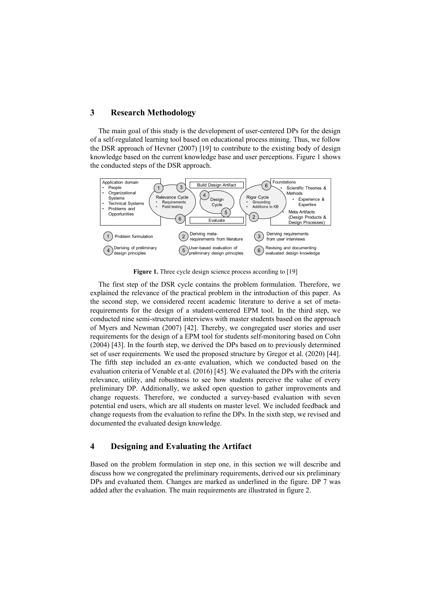# **3 Research Methodology**

The main goal of this study is the development of user-centered DPs for the design of a self-regulated learning tool based on educational process mining. Thus, we follow the DSR approach of Hevner (2007) [19] to contribute to the existing body of design knowledge based on the current knowledge base and user perceptions. Figure 1 shows the conducted steps of the DSR approach.



**Figure 1.** Three cycle design science process according to [19]

The first step of the DSR cycle contains the problem formulation. Therefore, we explained the relevance of the practical problem in the introduction of this paper. As the second step, we considered recent academic literature to derive a set of metarequirements for the design of a student-centered EPM tool. In the third step, we conducted nine semi-structured interviews with master students based on the approach of Myers and Newman (2007) [42]. Thereby, we congregated user stories and user requirements for the design of a EPM tool for students self-monitoring based on Cohn (2004) [43]. In the fourth step, we derived the DPs based on to previously determined set of user requirements. We used the proposed structure by Gregor et al. (2020) [44]. The fifth step included an ex-ante evaluation, which we conducted based on the evaluation criteria of Venable et al. (2016) [45]. We evaluated the DPs with the criteria relevance, utility, and robustness to see how students perceive the value of every preliminary DP. Additionally, we asked open question to gather improvements and change requests. Therefore, we conducted a survey-based evaluation with seven potential end users, which are all students on master level. We included feedback and change requests from the evaluation to refine the DPs. In the sixth step, we revised and documented the evaluated design knowledge.

## **4 Designing and Evaluating the Artifact**

Based on the problem formulation in step one, in this section we will describe and discuss how we congregated the preliminary requirements, derived our six preliminary DPs and evaluated them. Changes are marked as underlined in the figure. DP 7 was added after the evaluation. The main requirements are illustrated in figure 2.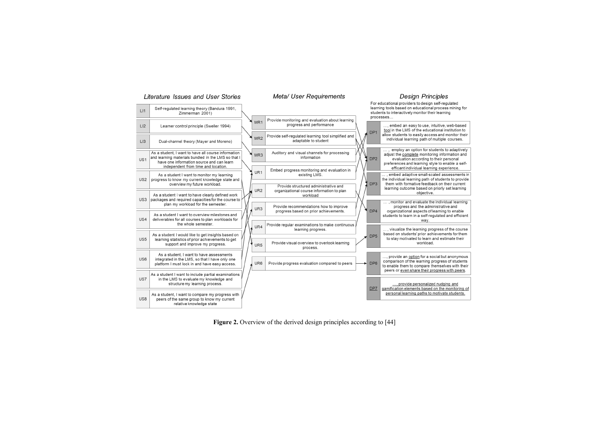

**Figure 2.** Overview of the derived design principles according to [44]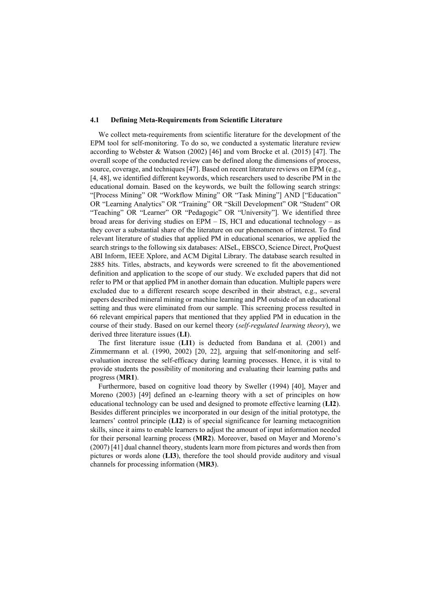#### **4.1 Defining Meta-Requirements from Scientific Literature**

We collect meta-requirements from scientific literature for the development of the EPM tool for self-monitoring. To do so, we conducted a systematic literature review according to Webster & Watson (2002) [46] and vom Brocke et al. (2015) [47]. The overall scope of the conducted review can be defined along the dimensions of process, source, coverage, and techniques [47]. Based on recent literature reviews on EPM (e.g., [4, 48], we identified different keywords, which researchers used to describe PM in the educational domain. Based on the keywords, we built the following search strings: "[Process Mining" OR "Workflow Mining" OR "Task Mining"] AND ["Education" OR "Learning Analytics" OR "Training" OR "Skill Development" OR "Student" OR "Teaching" OR "Learner" OR "Pedagogic" OR "University"]. We identified three broad areas for deriving studies on EPM – IS, HCI and educational technology – as they cover a substantial share of the literature on our phenomenon of interest. To find relevant literature of studies that applied PM in educational scenarios, we applied the search strings to the following six databases: AISeL, EBSCO, Science Direct, ProQuest ABI Inform, IEEE Xplore, and ACM Digital Library. The database search resulted in 2885 hits. Titles, abstracts, and keywords were screened to fit the abovementioned definition and application to the scope of our study. We excluded papers that did not refer to PM or that applied PM in another domain than education. Multiple papers were excluded due to a different research scope described in their abstract, e.g., several papers described mineral mining or machine learning and PM outside of an educational setting and thus were eliminated from our sample. This screening process resulted in 66 relevant empirical papers that mentioned that they applied PM in education in the course of their study. Based on our kernel theory (*self-regulated learning theory*), we derived three literature issues (**LI**).

The first literature issue (**LI1**) is deducted from Bandana et al. (2001) and Zimmermann et al. (1990, 2002) [20, 22], arguing that self-monitoring and selfevaluation increase the self-efficacy during learning processes. Hence, it is vital to provide students the possibility of monitoring and evaluating their learning paths and progress (**MR1**).

Furthermore, based on cognitive load theory by Sweller (1994) [40], Mayer and Moreno (2003) [49] defined an e-learning theory with a set of principles on how educational technology can be used and designed to promote effective learning (**LI2**). Besides different principles we incorporated in our design of the initial prototype, the learners' control principle (**LI2**) is of special significance for learning metacognition skills, since it aims to enable learners to adjust the amount of input information needed for their personal learning process (**MR2**). Moreover, based on Mayer and Moreno's (2007) [41] dual channel theory, students learn more from pictures and words then from pictures or words alone (**LI3**), therefore the tool should provide auditory and visual channels for processing information (**MR3**).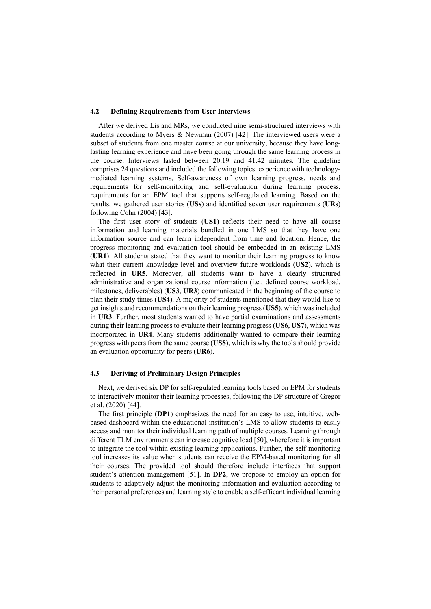#### **4.2 Defining Requirements from User Interviews**

After we derived Lis and MRs, we conducted nine semi-structured interviews with students according to Myers & Newman (2007) [42]. The interviewed users were a subset of students from one master course at our university, because they have longlasting learning experience and have been going through the same learning process in the course. Interviews lasted between 20.19 and 41.42 minutes. The guideline comprises 24 questions and included the following topics: experience with technologymediated learning systems, Self-awareness of own learning progress, needs and requirements for self-monitoring and self-evaluation during learning process, requirements for an EPM tool that supports self-regulated learning. Based on the results, we gathered user stories (**USs**) and identified seven user requirements (**URs**) following Cohn (2004) [43].

The first user story of students (**US1**) reflects their need to have all course information and learning materials bundled in one LMS so that they have one information source and can learn independent from time and location. Hence, the progress monitoring and evaluation tool should be embedded in an existing LMS (**UR1**). All students stated that they want to monitor their learning progress to know what their current knowledge level and overview future workloads (**US2**), which is reflected in **UR5**. Moreover, all students want to have a clearly structured administrative and organizational course information (i.e., defined course workload, milestones, deliverables) (**US3**, **UR3**) communicated in the beginning of the course to plan their study times (**US4**). A majority of students mentioned that they would like to get insights and recommendations on their learning progress (**US5**), which was included in **UR3**. Further, most students wanted to have partial examinations and assessments during their learning process to evaluate their learning progress (**US6**, **US7**), which was incorporated in **UR4**. Many students additionally wanted to compare their learning progress with peers from the same course (**US8**), which is why the tools should provide an evaluation opportunity for peers (**UR6**).

#### **4.3 Deriving of Preliminary Design Principles**

Next, we derived six DP for self-regulated learning tools based on EPM for students to interactively monitor their learning processes, following the DP structure of Gregor et al. (2020) [44].

The first principle (**DP1**) emphasizes the need for an easy to use, intuitive, webbased dashboard within the educational institution's LMS to allow students to easily access and monitor their individual learning path of multiple courses. Learning through different TLM environments can increase cognitive load [50], wherefore it is important to integrate the tool within existing learning applications. Further, the self-monitoring tool increases its value when students can receive the EPM-based monitoring for all their courses. The provided tool should therefore include interfaces that support student's attention management [51]. In **DP2**, we propose to employ an option for students to adaptively adjust the monitoring information and evaluation according to their personal preferences and learning style to enable a self-efficant individual learning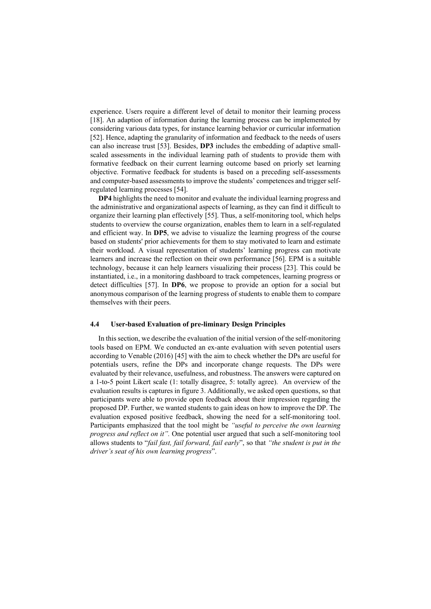experience. Users require a different level of detail to monitor their learning process [18]. An adaption of information during the learning process can be implemented by considering various data types, for instance learning behavior or curricular information [52]. Hence, adapting the granularity of information and feedback to the needs of users can also increase trust [53]. Besides, **DP3** includes the embedding of adaptive smallscaled assessments in the individual learning path of students to provide them with formative feedback on their current learning outcome based on priorly set learning objective. Formative feedback for students is based on a preceding self-assessments and computer-based assessments to improve the students' competences and trigger selfregulated learning processes [54].

**DP4** highlights the need to monitor and evaluate the individual learning progress and the administrative and organizational aspects of learning, as they can find it difficult to organize their learning plan effectively [55]. Thus, a self-monitoring tool, which helps students to overview the course organization, enables them to learn in a self-regulated and efficient way. In **DP5**, we advise to visualize the learning progress of the course based on students' prior achievements for them to stay motivated to learn and estimate their workload. A visual representation of students' learning progress can motivate learners and increase the reflection on their own performance [56]. EPM is a suitable technology, because it can help learners visualizing their process [23]. This could be instantiated, i.e., in a monitoring dashboard to track competences, learning progress or detect difficulties [57]. In **DP6**, we propose to provide an option for a social but anonymous comparison of the learning progress of students to enable them to compare themselves with their peers.

#### **4.4 User-based Evaluation of pre-liminary Design Principles**

In this section, we describe the evaluation of the initial version of the self-monitoring tools based on EPM. We conducted an ex-ante evaluation with seven potential users according to Venable (2016) [45] with the aim to check whether the DPs are useful for potentials users, refine the DPs and incorporate change requests. The DPs were evaluated by their relevance, usefulness, and robustness. The answers were captured on a 1-to-5 point Likert scale (1: totally disagree, 5: totally agree). An overview of the evaluation results is captures in figure 3. Additionally, we asked open questions, so that participants were able to provide open feedback about their impression regarding the proposed DP. Further, we wanted students to gain ideas on how to improve the DP. The evaluation exposed positive feedback, showing the need for a self-monitoring tool. Participants emphasized that the tool might be *"useful to perceive the own learning progress and reflect on it".* One potential user argued that such a self-monitoring tool allows students to "*fail fast, fail forward, fail early*", so that *"the student is put in the driver's seat of his own learning progress*".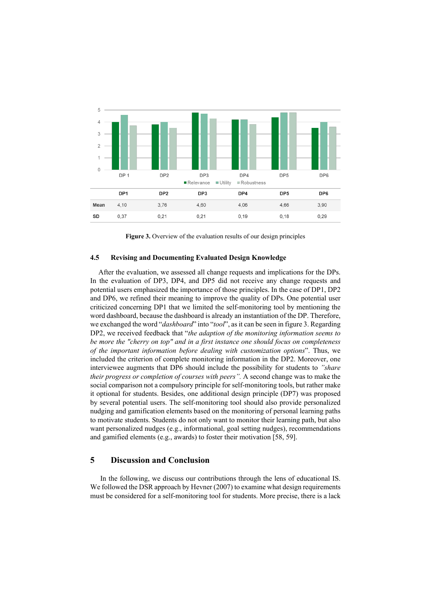

**Figure 3.** Overview of the evaluation results of our design principles

#### **4.5 Revising and Documenting Evaluated Design Knowledge**

After the evaluation, we assessed all change requests and implications for the DPs. In the evaluation of DP3, DP4, and DP5 did not receive any change requests and potential users emphasized the importance of those principles. In the case of DP1, DP2 and DP6, we refined their meaning to improve the quality of DPs. One potential user criticized concerning DP1 that we limited the self-monitoring tool by mentioning the word dashboard, because the dashboard is already an instantiation of the DP. Therefore, we exchanged the word "*dashboard*" into "*tool*", as it can be seen in figure 3. Regarding DP2, we received feedback that "*the adaption of the monitoring information seems to be more the "cherry on top" and in a first instance one should focus on completeness of the important information before dealing with customization options*". Thus, we included the criterion of complete monitoring information in the DP2. Moreover, one interviewee augments that DP6 should include the possibility for students to *"share their progress or completion of courses with peers".* A second change was to make the social comparison not a compulsory principle for self-monitoring tools, but rather make it optional for students. Besides, one additional design principle (DP7) was proposed by several potential users. The self-monitoring tool should also provide personalized nudging and gamification elements based on the monitoring of personal learning paths to motivate students. Students do not only want to monitor their learning path, but also want personalized nudges (e.g., informational, goal setting nudges), recommendations and gamified elements (e.g., awards) to foster their motivation [58, 59].

### **5 Discussion and Conclusion**

In the following, we discuss our contributions through the lens of educational IS. We followed the DSR approach by Hevner (2007) to examine what design requirements must be considered for a self-monitoring tool for students. More precise, there is a lack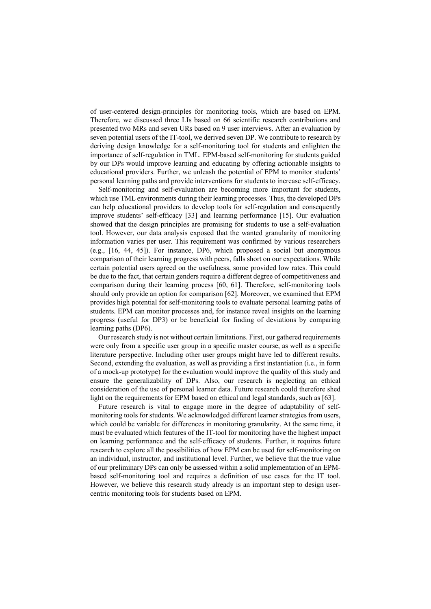of user-centered design-principles for monitoring tools, which are based on EPM. Therefore, we discussed three LIs based on 66 scientific research contributions and presented two MRs and seven URs based on 9 user interviews. After an evaluation by seven potential users of the IT-tool, we derived seven DP. We contribute to research by deriving design knowledge for a self-monitoring tool for students and enlighten the importance of self-regulation in TML. EPM-based self-monitoring for students guided by our DPs would improve learning and educating by offering actionable insights to educational providers. Further, we unleash the potential of EPM to monitor students' personal learning paths and provide interventions for students to increase self-efficacy.

Self-monitoring and self-evaluation are becoming more important for students, which use TML environments during their learning processes. Thus, the developed DPs can help educational providers to develop tools for self-regulation and consequently improve students' self-efficacy [33] and learning performance [15]. Our evaluation showed that the design principles are promising for students to use a self-evaluation tool. However, our data analysis exposed that the wanted granularity of monitoring information varies per user. This requirement was confirmed by various researchers (e.g., [16, 44, 45]). For instance, DP6, which proposed a social but anonymous comparison of their learning progress with peers, falls short on our expectations. While certain potential users agreed on the usefulness, some provided low rates. This could be due to the fact, that certain genders require a different degree of competitiveness and comparison during their learning process [60, 61]. Therefore, self-monitoring tools should only provide an option for comparison [62]. Moreover, we examined that EPM provides high potential for self-monitoring tools to evaluate personal learning paths of students. EPM can monitor processes and, for instance reveal insights on the learning progress (useful for DP3) or be beneficial for finding of deviations by comparing learning paths (DP6).

Our research study is not without certain limitations. First, our gathered requirements were only from a specific user group in a specific master course, as well as a specific literature perspective. Including other user groups might have led to different results. Second, extending the evaluation, as well as providing a first instantiation (i.e., in form of a mock-up prototype) for the evaluation would improve the quality of this study and ensure the generalizability of DPs. Also, our research is neglecting an ethical consideration of the use of personal learner data. Future research could therefore shed light on the requirements for EPM based on ethical and legal standards, such as [63].

Future research is vital to engage more in the degree of adaptability of selfmonitoring tools for students. We acknowledged different learner strategies from users, which could be variable for differences in monitoring granularity. At the same time, it must be evaluated which features of the IT-tool for monitoring have the highest impact on learning performance and the self-efficacy of students. Further, it requires future research to explore all the possibilities of how EPM can be used for self-monitoring on an individual, instructor, and institutional level. Further, we believe that the true value of our preliminary DPs can only be assessed within a solid implementation of an EPMbased self-monitoring tool and requires a definition of use cases for the IT tool. However, we believe this research study already is an important step to design usercentric monitoring tools for students based on EPM.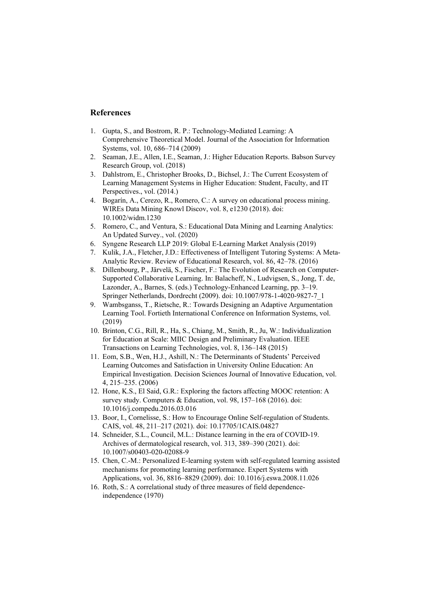## **References**

- 1. Gupta, S., and Bostrom, R. P.: Technology-Mediated Learning: A Comprehensive Theoretical Model. Journal of the Association for Information Systems, vol. 10, 686–714 (2009)
- 2. Seaman, J.E., Allen, I.E., Seaman, J.: Higher Education Reports. Babson Survey Research Group, vol. (2018)
- 3. Dahlstrom, E., Christopher Brooks, D., Bichsel, J.: The Current Ecosystem of Learning Management Systems in Higher Education: Student, Faculty, and IT Perspectives., vol. (2014.)
- 4. Bogarín, A., Cerezo, R., Romero, C.: A survey on educational process mining. WIREs Data Mining Knowl Discov, vol. 8, e1230 (2018). doi: 10.1002/widm.1230
- 5. Romero, C., and Ventura, S.: Educational Data Mining and Learning Analytics: An Updated Survey., vol. (2020)
- 6. Syngene Research LLP 2019: Global E-Learning Market Analysis (2019)
- 7. Kulik, J.A., Fletcher, J.D.: Effectiveness of Intelligent Tutoring Systems: A Meta-Analytic Review. Review of Educational Research, vol. 86, 42–78. (2016)
- 8. Dillenbourg, P., Järvelä, S., Fischer, F.: The Evolution of Research on Computer-Supported Collaborative Learning. In: Balacheff, N., Ludvigsen, S., Jong, T. de, Lazonder, A., Barnes, S. (eds.) Technology-Enhanced Learning, pp. 3–19. Springer Netherlands, Dordrecht (2009). doi: 10.1007/978-1-4020-9827-7\_1
- 9. Wambsganss, T., Rietsche, R.: Towards Designing an Adaptive Argumentation Learning Tool. Fortieth International Conference on Information Systems, vol. (2019)
- 10. Brinton, C.G., Rill, R., Ha, S., Chiang, M., Smith, R., Ju, W.: Individualization for Education at Scale: MIIC Design and Preliminary Evaluation. IEEE Transactions on Learning Technologies, vol. 8, 136–148 (2015)
- 11. Eom, S.B., Wen, H.J., Ashill, N.: The Determinants of Students' Perceived Learning Outcomes and Satisfaction in University Online Education: An Empirical Investigation. Decision Sciences Journal of Innovative Education, vol. 4, 215–235. (2006)
- 12. Hone, K.S., El Said, G.R.: Exploring the factors affecting MOOC retention: A survey study. Computers & Education, vol. 98, 157–168 (2016). doi: 10.1016/j.compedu.2016.03.016
- 13. Boor, I., Cornelisse, S.: How to Encourage Online Self-regulation of Students. CAIS, vol. 48, 211–217 (2021). doi: 10.17705/1CAIS.04827
- 14. Schneider, S.L., Council, M.L.: Distance learning in the era of COVID-19. Archives of dermatological research, vol. 313, 389–390 (2021). doi: 10.1007/s00403-020-02088-9
- 15. Chen, C.-M.: Personalized E-learning system with self-regulated learning assisted mechanisms for promoting learning performance. Expert Systems with Applications, vol. 36, 8816–8829 (2009). doi: 10.1016/j.eswa.2008.11.026
- 16. Roth, S.: A correlational study of three measures of field dependenceindependence (1970)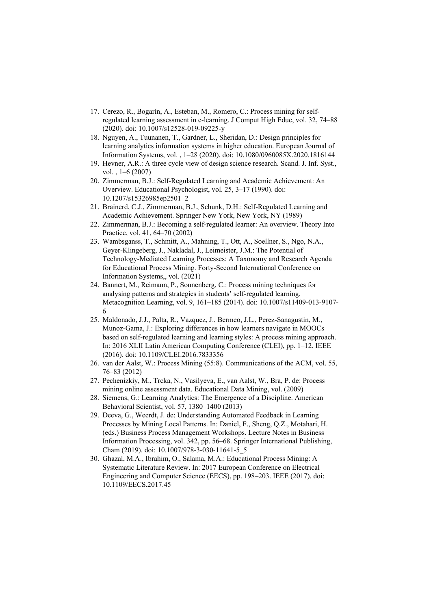- 17. Cerezo, R., Bogarín, A., Esteban, M., Romero, C.: Process mining for selfregulated learning assessment in e-learning. J Comput High Educ, vol. 32, 74–88 (2020). doi: 10.1007/s12528-019-09225-y
- 18. Nguyen, A., Tuunanen, T., Gardner, L., Sheridan, D.: Design principles for learning analytics information systems in higher education. European Journal of Information Systems, vol. , 1–28 (2020). doi: 10.1080/0960085X.2020.1816144
- 19. Hevner, A.R.: A three cycle view of design science research. Scand. J. Inf. Syst., vol. , 1–6 (2007)
- 20. Zimmerman, B.J.: Self-Regulated Learning and Academic Achievement: An Overview. Educational Psychologist, vol. 25, 3–17 (1990). doi: 10.1207/s15326985ep2501\_2
- 21. Brainerd, C.J., Zimmerman, B.J., Schunk, D.H.: Self-Regulated Learning and Academic Achievement. Springer New York, New York, NY (1989)
- 22. Zimmerman, B.J.: Becoming a self-regulated learner: An overview. Theory Into Practice, vol. 41, 64–70 (2002)
- 23. Wambsganss, T., Schmitt, A., Mahning, T., Ott, A., Soellner, S., Ngo, N.A., Geyer-Klingeberg, J., Nakladal, J., Leimeister, J.M.: The Potential of Technology-Mediated Learning Processes: A Taxonomy and Research Agenda for Educational Process Mining. Forty-Second International Conference on Information Systems,, vol. (2021)
- 24. Bannert, M., Reimann, P., Sonnenberg, C.: Process mining techniques for analysing patterns and strategies in students' self-regulated learning. Metacognition Learning, vol. 9, 161–185 (2014). doi: 10.1007/s11409-013-9107- 6
- 25. Maldonado, J.J., Palta, R., Vazquez, J., Bermeo, J.L., Perez-Sanagustin, M., Munoz-Gama, J.: Exploring differences in how learners navigate in MOOCs based on self-regulated learning and learning styles: A process mining approach. In: 2016 XLII Latin American Computing Conference (CLEI), pp. 1–12. IEEE (2016). doi: 10.1109/CLEI.2016.7833356
- 26. van der Aalst, W.: Process Mining (55:8). Communications of the ACM, vol. 55, 76–83 (2012)
- 27. Pechenizkiy, M., Trcka, N., Vasilyeva, E., van Aalst, W., Bra, P. de: Process mining online assessment data. Educational Data Mining, vol. (2009)
- 28. Siemens, G.: Learning Analytics: The Emergence of a Discipline. American Behavioral Scientist, vol. 57, 1380–1400 (2013)
- 29. Deeva, G., Weerdt, J. de: Understanding Automated Feedback in Learning Processes by Mining Local Patterns. In: Daniel, F., Sheng, Q.Z., Motahari, H. (eds.) Business Process Management Workshops. Lecture Notes in Business Information Processing, vol. 342, pp. 56–68. Springer International Publishing, Cham (2019). doi: 10.1007/978-3-030-11641-5\_5
- 30. Ghazal, M.A., Ibrahim, O., Salama, M.A.: Educational Process Mining: A Systematic Literature Review. In: 2017 European Conference on Electrical Engineering and Computer Science (EECS), pp. 198–203. IEEE (2017). doi: 10.1109/EECS.2017.45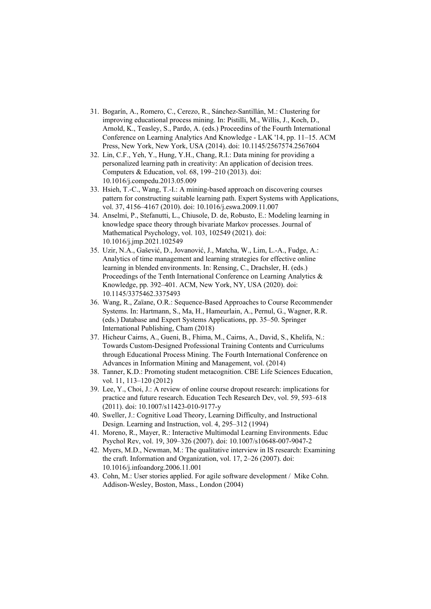- 31. Bogarín, A., Romero, C., Cerezo, R., Sánchez-Santillán, M.: Clustering for improving educational process mining. In: Pistilli, M., Willis, J., Koch, D., Arnold, K., Teasley, S., Pardo, A. (eds.) Proceedins of the Fourth International Conference on Learning Analytics And Knowledge - LAK '14, pp. 11–15. ACM Press, New York, New York, USA (2014). doi: 10.1145/2567574.2567604
- 32. Lin, C.F., Yeh, Y., Hung, Y.H., Chang, R.I.: Data mining for providing a personalized learning path in creativity: An application of decision trees. Computers & Education, vol. 68, 199–210 (2013). doi: 10.1016/j.compedu.2013.05.009
- 33. Hsieh, T.-C., Wang, T.-I.: A mining-based approach on discovering courses pattern for constructing suitable learning path. Expert Systems with Applications, vol. 37, 4156–4167 (2010). doi: 10.1016/j.eswa.2009.11.007
- 34. Anselmi, P., Stefanutti, L., Chiusole, D. de, Robusto, E.: Modeling learning in knowledge space theory through bivariate Markov processes. Journal of Mathematical Psychology, vol. 103, 102549 (2021). doi: 10.1016/j.jmp.2021.102549
- 35. Uzir, N.A., Gašević, D., Jovanović, J., Matcha, W., Lim, L.-A., Fudge, A.: Analytics of time management and learning strategies for effective online learning in blended environments. In: Rensing, C., Drachsler, H. (eds.) Proceedings of the Tenth International Conference on Learning Analytics & Knowledge, pp. 392–401. ACM, New York, NY, USA (2020). doi: 10.1145/3375462.3375493
- 36. Wang, R., Zaïane, O.R.: Sequence-Based Approaches to Course Recommender Systems. In: Hartmann, S., Ma, H., Hameurlain, A., Pernul, G., Wagner, R.R. (eds.) Database and Expert Systems Applications, pp. 35–50. Springer International Publishing, Cham (2018)
- 37. Hicheur Cairns, A., Gueni, B., Fhima, M., Cairns, A., David, S., Khelifa, N.: Towards Custom-Designed Professional Training Contents and Curriculums through Educational Process Mining. The Fourth International Conference on Advances in Information Mining and Management, vol. (2014)
- 38. Tanner, K.D.: Promoting student metacognition. CBE Life Sciences Education, vol. 11, 113–120 (2012)
- 39. Lee, Y., Choi, J.: A review of online course dropout research: implications for practice and future research. Education Tech Research Dev, vol. 59, 593–618 (2011). doi: 10.1007/s11423-010-9177-y
- 40. Sweller, J.: Cognitive Load Theory, Learning Difficulty, and Instructional Design. Learning and Instruction, vol. 4, 295–312 (1994)
- 41. Moreno, R., Mayer, R.: Interactive Multimodal Learning Environments. Educ Psychol Rev, vol. 19, 309–326 (2007). doi: 10.1007/s10648-007-9047-2
- 42. Myers, M.D., Newman, M.: The qualitative interview in IS research: Examining the craft. Information and Organization, vol. 17, 2–26 (2007). doi: 10.1016/j.infoandorg.2006.11.001
- 43. Cohn, M.: User stories applied. For agile software development / Mike Cohn. Addison-Wesley, Boston, Mass., London (2004)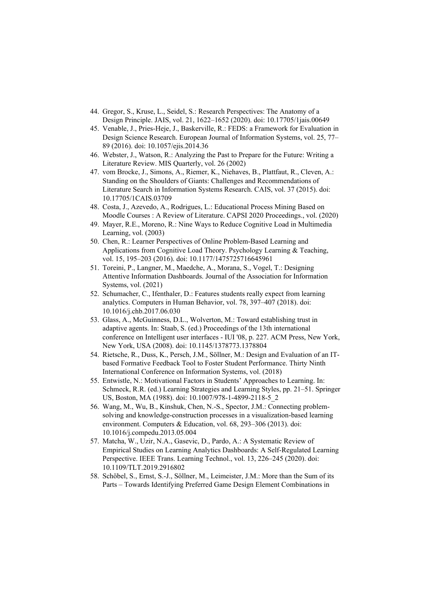- 44. Gregor, S., Kruse, L., Seidel, S.: Research Perspectives: The Anatomy of a Design Principle. JAIS, vol. 21, 1622–1652 (2020). doi: 10.17705/1jais.00649
- 45. Venable, J., Pries-Heje, J., Baskerville, R.: FEDS: a Framework for Evaluation in Design Science Research. European Journal of Information Systems, vol. 25, 77– 89 (2016). doi: 10.1057/ejis.2014.36
- 46. Webster, J., Watson, R.: Analyzing the Past to Prepare for the Future: Writing a Literature Review. MIS Quarterly, vol. 26 (2002)
- 47. vom Brocke, J., Simons, A., Riemer, K., Niehaves, B., Plattfaut, R., Cleven, A.: Standing on the Shoulders of Giants: Challenges and Recommendations of Literature Search in Information Systems Research. CAIS, vol. 37 (2015). doi: 10.17705/1CAIS.03709
- 48. Costa, J., Azevedo, A., Rodrigues, L.: Educational Process Mining Based on Moodle Courses : A Review of Literature. CAPSI 2020 Proceedings., vol. (2020)
- 49. Mayer, R.E., Moreno, R.: Nine Ways to Reduce Cognitive Load in Multimedia Learning, vol. (2003)
- 50. Chen, R.: Learner Perspectives of Online Problem-Based Learning and Applications from Cognitive Load Theory. Psychology Learning & Teaching, vol. 15, 195–203 (2016). doi: 10.1177/1475725716645961
- 51. Toreini, P., Langner, M., Maedche, A., Morana, S., Vogel, T.: Designing Attentive Information Dashboards. Journal of the Association for Information Systems, vol. (2021)
- 52. Schumacher, C., Ifenthaler, D.: Features students really expect from learning analytics. Computers in Human Behavior, vol. 78, 397–407 (2018). doi: 10.1016/j.chb.2017.06.030
- 53. Glass, A., McGuinness, D.L., Wolverton, M.: Toward establishing trust in adaptive agents. In: Staab, S. (ed.) Proceedings of the 13th international conference on Intelligent user interfaces - IUI '08, p. 227. ACM Press, New York, New York, USA (2008). doi: 10.1145/1378773.1378804
- 54. Rietsche, R., Duss, K., Persch, J.M., Söllner, M.: Design and Evaluation of an ITbased Formative Feedback Tool to Foster Student Performance. Thirty Ninth International Conference on Information Systems, vol. (2018)
- 55. Entwistle, N.: Motivational Factors in Students' Approaches to Learning. In: Schmeck, R.R. (ed.) Learning Strategies and Learning Styles, pp. 21–51. Springer US, Boston, MA (1988). doi: 10.1007/978-1-4899-2118-5\_2
- 56. Wang, M., Wu, B., Kinshuk, Chen, N.-S., Spector, J.M.: Connecting problemsolving and knowledge-construction processes in a visualization-based learning environment. Computers & Education, vol. 68, 293–306 (2013). doi: 10.1016/j.compedu.2013.05.004
- 57. Matcha, W., Uzir, N.A., Gasevic, D., Pardo, A.: A Systematic Review of Empirical Studies on Learning Analytics Dashboards: A Self-Regulated Learning Perspective. IEEE Trans. Learning Technol., vol. 13, 226–245 (2020). doi: 10.1109/TLT.2019.2916802
- 58. Schöbel, S., Ernst, S.-J., Söllner, M., Leimeister, J.M.: More than the Sum of its Parts – Towards Identifying Preferred Game Design Element Combinations in